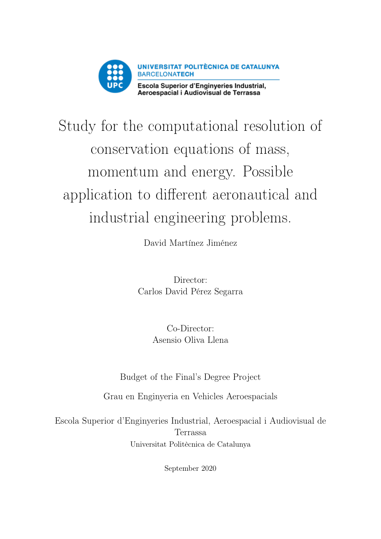

# Study for the computational resolution of conservation equations of mass, momentum and energy. Possible application to different aeronautical and industrial engineering problems.

David Martínez Jiménez

Director: Carlos David Pérez Segarra

> Co-Director: Asensio Oliva Llena

Budget of the Final's Degree Project

Grau en Enginyeria en Vehicles Aeroespacials

Escola Superior d'Enginyeries Industrial, Aeroespacial i Audiovisual de Terrassa Universitat Politècnica de Catalunya

September 2020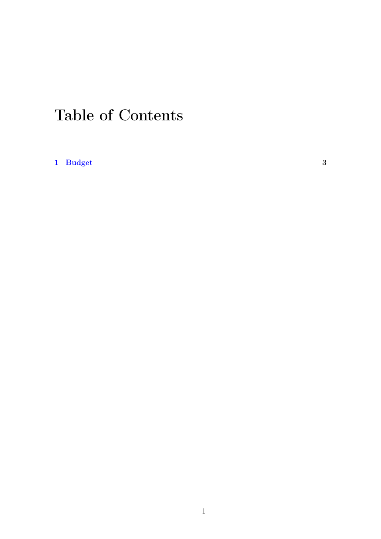### Table of Contents

[1 Budget](#page-3-0) 3 3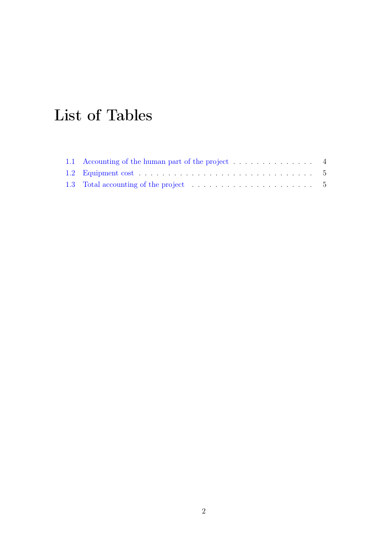## List of Tables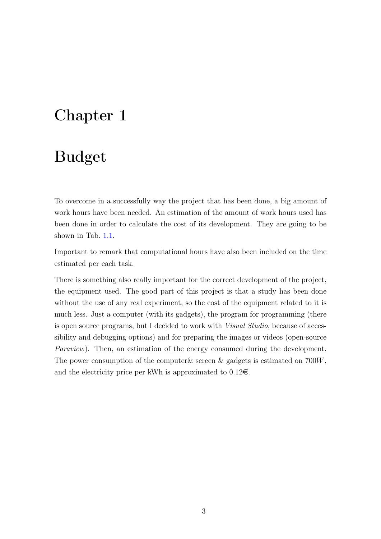#### <span id="page-3-0"></span>Chapter 1

### Budget

To overcome in a successfully way the project that has been done, a big amount of work hours have been needed. An estimation of the amount of work hours used has been done in order to calculate the cost of its development. They are going to be shown in Tab. [1.1.](#page-4-0)

Important to remark that computational hours have also been included on the time estimated per each task.

There is something also really important for the correct development of the project, the equipment used. The good part of this project is that a study has been done without the use of any real experiment, so the cost of the equipment related to it is much less. Just a computer (with its gadgets), the program for programming (there is open source programs, but I decided to work with Visual Studio, because of accessibility and debugging options) and for preparing the images or videos (open-source Paraview). Then, an estimation of the energy consumed during the development. The power consumption of the computer& screen & gadgets is estimated on 700W, and the electricity price per kWh is approximated to  $0.12 \epsilon$ .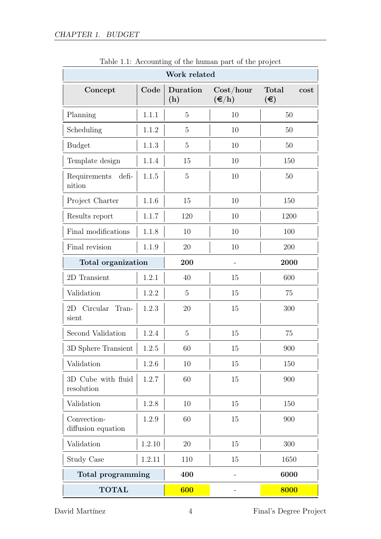| or the mannen part or the project<br>Work related      |        |                 |                                                                  |                                            |
|--------------------------------------------------------|--------|-----------------|------------------------------------------------------------------|--------------------------------------------|
| Concept                                                | Code   | Duration<br>(h) | $\mathrm{Cost}/\mathrm{hour}$<br>$(\boldsymbol{\in} / \text{h})$ | Total<br>cost<br>$(\boldsymbol{\epsilon})$ |
| Planning                                               | 1.1.1  | $\overline{5}$  | 10                                                               | 50                                         |
| Scheduling                                             | 1.1.2  | $\overline{5}$  | 10                                                               | 50                                         |
| <b>Budget</b>                                          | 1.1.3  | $\overline{5}$  | 10                                                               | 50                                         |
| Template design                                        | 1.1.4  | 15              | 10                                                               | 150                                        |
| Requirements defi-<br>nition                           | 1.1.5  | $\overline{5}$  | 10                                                               | 50                                         |
| Project Charter                                        | 1.1.6  | 15              | 10                                                               | 150                                        |
| Results report                                         | 1.1.7  | 120             | 10                                                               | 1200                                       |
| Final modifications                                    | 1.1.8  | 10              | 10                                                               | 100                                        |
| Final revision                                         | 1.1.9  | 20              | 10                                                               | $200\,$                                    |
| Total organization                                     |        | 200             |                                                                  | 2000                                       |
| 2D Transient                                           | 1.2.1  | 40              | 15                                                               | 600                                        |
| Validation                                             | 1.2.2  | $\overline{5}$  | 15                                                               | 75                                         |
| 2D Circular<br>$\operatorname{Tran}\nolimits$<br>sient | 1.2.3  | 20              | 15                                                               | 300                                        |
| Second Validation                                      | 1.2.4  | $\overline{5}$  | 15                                                               | 75                                         |
| 3D Sphere Transient                                    | 1.2.5  | 60              | 15                                                               | 900                                        |
| Validation                                             | 1.2.6  | 10              | 15                                                               | 150                                        |
| 3D Cube with fluid<br>resolution                       | 1.2.7  | 60              | 15                                                               | 900                                        |
| Validation                                             | 1.2.8  | 10              | 15                                                               | 150                                        |
| Convection-<br>diffusion equation                      | 1.2.9  | 60              | 15                                                               | 900                                        |
| Validation                                             | 1.2.10 | 20              | 15                                                               | 300                                        |
| Study Case                                             | 1.2.11 | 110             | 15                                                               | 1650                                       |
| Total programming                                      |        | 400             |                                                                  | 6000                                       |
| <b>TOTAL</b>                                           |        | 600             |                                                                  | 8000                                       |

<span id="page-4-0"></span>Table 1.1: Accounting of the human part of the project